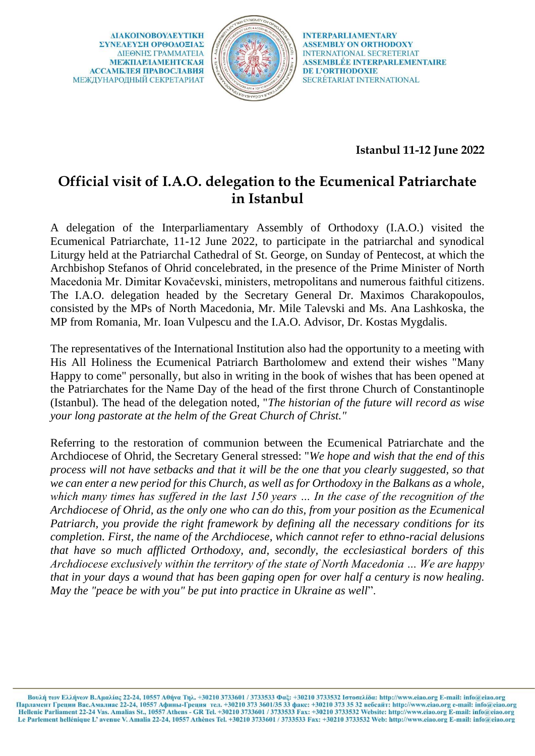**AIAKOINOBOYAEYTIKH** ΣΥΝΕΛΕΥΣΗ ΟΡΘΟΛΟΞΙΑΣ ΔΙΕΘΝΗΣ ΓΡΑΜΜΑΤΕΙΑ **МЕЖПАРЛАМЕНТСКАЯ АССАМБЛЕЯ ПРАВОСЛАВИЯ** МЕЖДУНАРОДНЫЙ СЕКРЕТАРИАТ



**INTERPARLIAMENTARY ASSEMBLY ON ORTHODOXY INTERNATIONAL SECRETERIAT ASSEMBLÉE INTERPARLEMENTAIRE DE L'ORTHODOXIE** SECRÉTARIAT INTERNATIONAL

## **Istanbul 11-12 June 2022**

## **Official visit of I.A.O. delegation to the Ecumenical Patriarchate in Istanbul**

A delegation of the Interparliamentary Assembly of Orthodoxy (I.A.O.) visited the Ecumenical Patriarchate, 11-12 June 2022, to participate in the patriarchal and synodical Liturgy held at the Patriarchal Cathedral of St. George, on Sunday of Pentecost, at which the Archbishop Stefanos of Ohrid concelebrated, in the presence of the Prime Minister of North Macedonia Mr. Dimitar Kovačevski, ministers, metropolitans and numerous faithful citizens. The I.A.O. delegation headed by the Secretary General Dr. Maximos Charakopoulos, consisted by the MPs of North Macedonia, Mr. Mile Talevski and Ms. Ana Lashkoska, the MP from Romania, Mr. Ioan Vulpescu and the I.A.O. Advisor, Dr. Kostas Mygdalis.

The representatives of the International Institution also had the opportunity to a meeting with His All Holiness the Ecumenical Patriarch Bartholomew and extend their wishes "Many Happy to come" personally, but also in writing in the book of wishes that has been opened at the Patriarchates for the Name Day of the head of the first throne Church of Constantinople (Istanbul). The head of the delegation noted, "*The historian of the future will record as wise your long pastorate at the helm of the Great Church of Christ."*

Referring to the restoration of communion between the Ecumenical Patriarchate and the Archdiocese of Ohrid, the Secretary General stressed: "*We hope and wish that the end of this process will not have setbacks and that it will be the one that you clearly suggested, so that we can enter a new period for this Church, as well as for Orthodoxy in the Balkans as a whole, which many times has suffered in the last 150 years … In the case of the recognition of the Archdiocese of Ohrid, as the only one who can do this, from your position as the Ecumenical Patriarch, you provide the right framework by defining all the necessary conditions for its completion. First, the name of the Archdiocese, which cannot refer to ethno-racial delusions that have so much afflicted Orthodoxy, and, secondly, the ecclesiastical borders of this Archdiocese exclusively within the territory of the state of North Macedonia … We are happy that in your days a wound that has been gaping open for over half a century is now healing. May the "peace be with you" be put into practice in Ukraine as well*".

Βουλή των Ελλήνων Β.Αμαλίας 22-24, 10557 Αθήνα Τηλ. +30210 3733601 / 3733533 Φαξ: +30210 3733532 Ιστοσελίδα: http://www.eiao.org E-mail: info@eiao.org Парламент Греции Вас.Амалиас 22-24, 10557 Афины-Греция тел. +30210 373 3601/35 33 факс: +30210 373 35 32 вебсайт: http://www.eiao.org e-mail: info@eiao.org<br>Hellenic Parliament 22-24 Vas. Amalias St., 10557 Athens - GR Tel Le Parlement hellénique L'avenue V. Amalia 22-24, 10557 Athènes Tel. +30210 3733601 / 3733533 Fax: +30210 3733532 Web: http://www.eiao.org E-mail: info@eiao.org